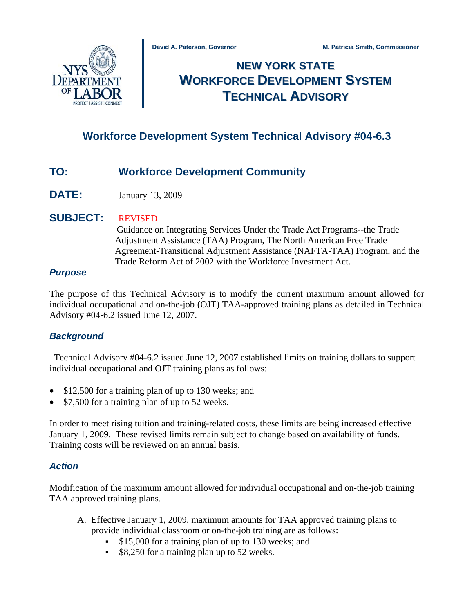

# **NEW YORK STATE WORKFORCE DEVELOPMENT SYSTEM TECHNICAL ADVISORY**

# **Workforce Development System Technical Advisory #04-6.3**

# **TO: Workforce Development Community**

**DATE:** January 13, 2009

# **SUBJECT:** REVISED

 Guidance on Integrating Services Under the Trade Act Programs--the Trade Adjustment Assistance (TAA) Program, The North American Free Trade Agreement-Transitional Adjustment Assistance (NAFTA-TAA) Program, and the Trade Reform Act of 2002 with the Workforce Investment Act.

#### *Purpose*

The purpose of this Technical Advisory is to modify the current maximum amount allowed for individual occupational and on-the-job (OJT) TAA-approved training plans as detailed in Technical Advisory #04-6.2 issued June 12, 2007.

## *Background*

 Technical Advisory #04-6.2 issued June 12, 2007 established limits on training dollars to support individual occupational and OJT training plans as follows:

- \$12,500 for a training plan of up to 130 weeks; and
- \$7,500 for a training plan of up to 52 weeks.

In order to meet rising tuition and training-related costs, these limits are being increased effective January 1, 2009. These revised limits remain subject to change based on availability of funds. Training costs will be reviewed on an annual basis.

## *Action*

Modification of the maximum amount allowed for individual occupational and on-the-job training TAA approved training plans.

- A. Effective January 1, 2009, maximum amounts for TAA approved training plans to provide individual classroom or on-the-job training are as follows:
	- **\$15,000 for a training plan of up to 130 weeks; and**
	- **\$8,250 for a training plan up to 52 weeks.**